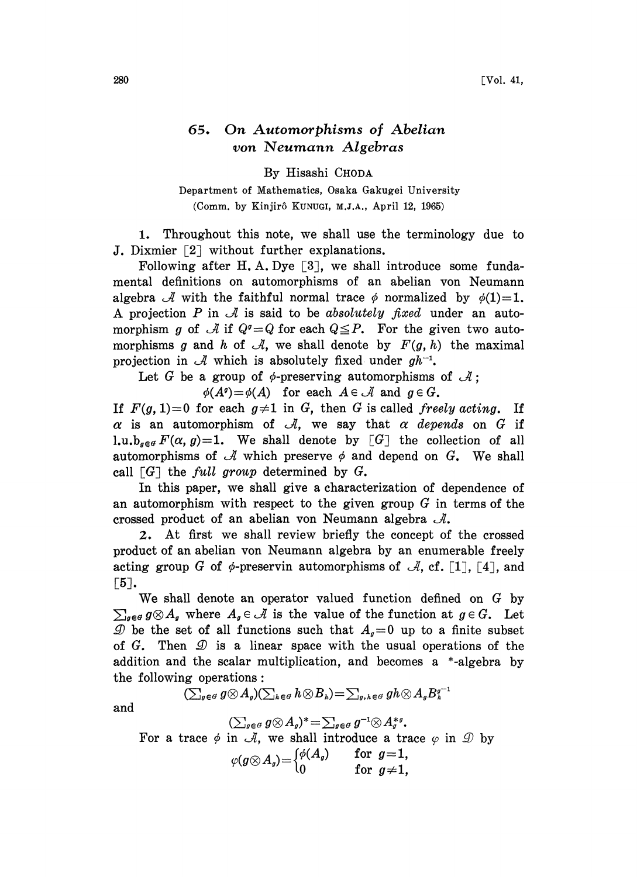## 65. On Automorphisms of Abelian yon Neumann Algebras

By Hisashi CHODA

Department of Mathematics, Osaka Gakugei University (Comm. by Kinjir6 KUNUCI, M.J.A., April 12, 1965)

1. Throughout this note, we shall use the terminology due to J. Dixmier  $\lceil 2 \rceil$  without further explanations.

Following after H.A. Dye  $\lceil 3 \rceil$ , we shall introduce some fundamental definitions on automorphisms of an abelian von Neumann algebra  $\mathcal A$  with the faithful normal trace  $\phi$  normalized by  $\phi(1)=1$ . A projection P in  $\mathcal A$  is said to be absolutely fixed under an automorphism g of  $\mathcal A$  if  $Q^g = Q$  for each  $Q \leq P$ . For the given two automorphisms g and h of  $\mathcal A$ , we shall denote by  $F(g, h)$  the maximal projection in  $\mathcal A$  which is absolutely fixed under  $gh^{-1}$ .

Let G be a group of  $\phi$ -preserving automorphisms of  $\mathcal{A}$ ;

 $\phi(A^q) = \phi(A)$  for each  $A \in \mathcal{A}$  and  $g \in G$ .

If  $F(g, 1)=0$  for each  $g\neq 1$  in G, then G is called freely acting. If  $\alpha$  is an automorphism of  $\mathcal{A}$ , we say that  $\alpha$  depends on G if 1.u.b<sub>aeg</sub>  $F(\alpha, g)=1$ . We shall denote by [G] the collection of all automorphisms of  $\mathcal A$  which preserve  $\phi$  and depend on G. We shall call  $[G]$  the *full group* determined by G.

In this paper, we shall give a characterization of dependence of an automorphism with respect to the given group  $G$  in terms of the crossed product of an abelian von Neumann algebra  $\mathcal{A}.$ 

2. At first we shall review briefly the concept of the crossed product of an abelian von Neumann algebra by an enumerable freely acting group G of  $\phi$ -preservin automorphisms of  $\mathcal{A}$ , cf. [1], [4], and  $\lceil 5 \rceil$ .

We shall denote an operator valued function defined on G by  $\sum_{g \in G} g \otimes A_g$  where  $A_g \in \mathcal{A}$  is the value of the function at  $g \in G$ . Let  $\mathcal{D}$  be the set of all functions such that  $A_q=0$  up to a finite subset of G. Then  $\mathcal D$  is a linear space with the usual operations of the addition and the scalar multiplication, and becomes a \*-algebra by the following operations:

$$
(\sum\nolimits_{g\in G}g\mathop{{\otimes}} A_g)(\sum\nolimits_{h\in G}h\mathop{{\otimes}} B_h)=\sum\nolimits_{g,\,h\in G}gh\mathop{{\otimes}} A_gB_h^{g^{-1}}
$$

and

$$
(\sum_{g\in G}g\otimes A_g)^*=\sum_{g\in G}g^{-1}\otimes A_g^{*g}.
$$

For a trace  $\phi$  in  $\mathcal{A}$ , we shall introduce a trace  $\varphi$  in  $\mathcal{D}$  by

$$
\varphi(g\otimes A_g) = \begin{cases} \phi(A_g) & \text{for } g=1, \\ 0 & \text{for } g\neq 1, \end{cases}
$$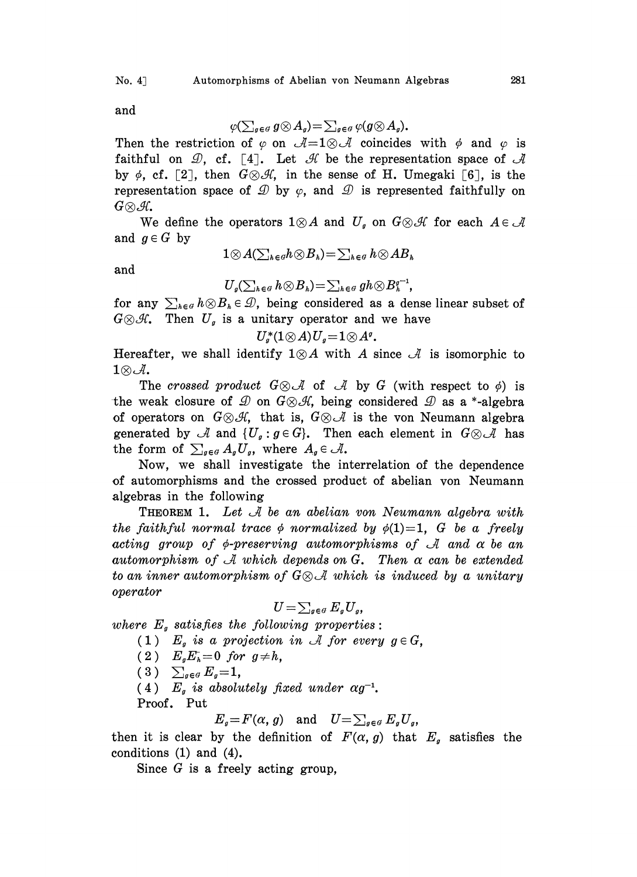and

$$
\varphi(\sum_{g\in G}g\otimes A_g)=\sum_{g\in G}\varphi(g\otimes A_g).
$$

Then the restriction of  $\varphi$  on  $\mathcal{A} = 1 \otimes \mathcal{A}$  coincides with  $\varphi$  and  $\varphi$  is faithful on  $\mathcal{D}$ , cf. [4]. Let  $\mathcal{H}$  be the representation space of  $\mathcal{A}$ by  $\phi$ , cf. [2], then  $G \otimes \mathcal{A}$ , in the sense of H. Umegaki [6], is the representation space of  $\mathcal{D}$  by  $\varphi$ , and  $\mathcal{D}$  is represented faithfully on  $G{\otimes}\mathcal{A}$ .

We define the operators  $1 \otimes A$  and  $U_g$  on  $G \otimes H$  for each  $A \in \mathcal{A}$ and  $g \in G$  by

$$
\quad\text{and}\quad
$$

$$
1 \otimes A(\sum_{h \in G} h \otimes B_h) = \sum_{h \in G} h \otimes AB_h
$$

 $U_q(\sum_{k\in G} h\otimes B_k)=\sum_{k\in G} gh\otimes B_k^{g^{-1}},$ for any  $\sum_{h\in G} h\otimes B_h \in \mathcal{D}$ , being considered as a dense linear subset of

 $G \otimes \mathcal{H}$ . Then  $U_g$  is a unitary operator and we have

 $U^*_q(1\otimes A)U_q=1\otimes A^q$ .

Hereafter, we shall identify  $1 \otimes A$  with A since  $\mathcal A$  is isomorphic to 1 $\otimes$  *J*.<br>The crossed product  $G \otimes A$  of *A* by *G* (with respect to  $\phi$ ) is

the weak closure of  $\mathcal{D}$  on  $G \otimes \mathcal{A}$ , being considered  $\mathcal{D}$  as a \*-algebra of operators on  $G \otimes \mathcal{A}$ , that is,  $G \otimes \mathcal{A}$  is the von Neumann algebra generated by  $\mathcal A$  and  $\{U_g: g \in G\}$ . Then each element in  $G \otimes \mathcal A$  has the form of  $\sum_{g \in G} A_g U_g$ , where  $A_g \in \mathcal{A}$ .

Now, we shall investigate the interrelation of the dependence of automorphisms and the crossed product of abelian von Neumann algebras in the following

**THEOREM 1.** Let  $\mathcal A$  be an abelian von Neumann algebra with the faithful normal trace  $\phi$  normalized by  $\phi(1)=1$ , G be a freely acting group of  $\phi$ -preserving automorphisms of A and  $\alpha$  be an automorphism of  $\mathcal A$  which depends on G. Then  $\alpha$  can be extended to an inner automorphism of  $G \otimes \mathcal{A}$  which is induced by a unitary operator

$$
U=\sum_{g\in G}E_gU_g,
$$

where  $E<sub>s</sub>$  satisfies the following properties:

(1)  $E<sub>g</sub>$  is a projection in A for every  $g \in G$ ,

(2)  $E_gE_h=0$  for  $g\neq h$ ,

 $(3)$   $\sum_{g \in G} E_g = 1$ ,

(4)  $E_g$  is absolutely fixed under  $\alpha g^{-1}$ .

Proof. Put

$$
E_g = F(\alpha, g) \quad \text{and} \quad U = \sum_{g \in G} E_g U_g,
$$

then it is clear by the definition of  $F(\alpha, g)$  that  $E_g$  satisfies the conditions (1) and (4).

Since  $G$  is a freely acting group,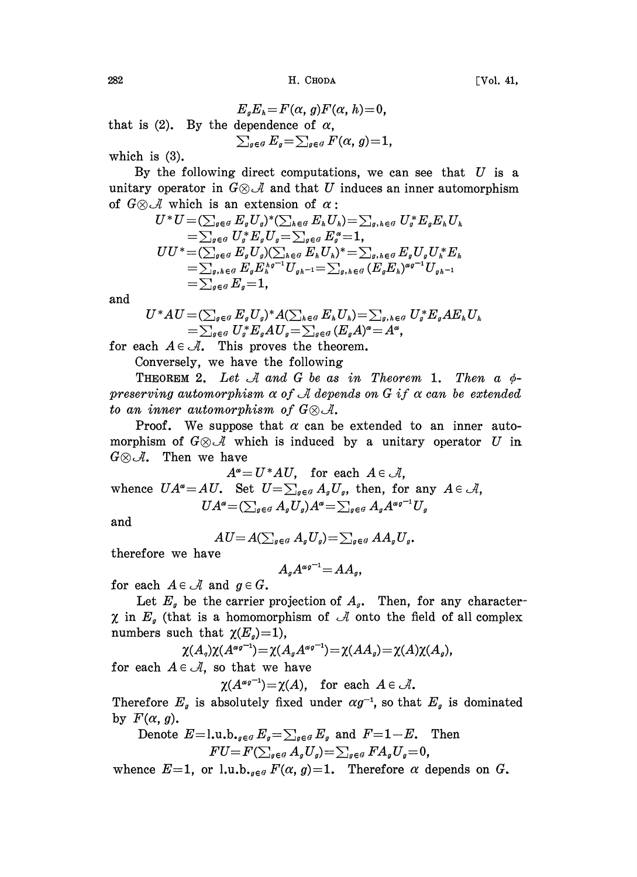$282$   $H. ChODA$   $[Vo. 41,$ 

 $E_aE_b = F(\alpha, g)F(\alpha, h) = 0$ , that is (2). By the dependence of  $\alpha$ ,  $\sum_{g \in G} E_g = \sum_{g \in G} F(\alpha, g) = 1$ ,

which is (3).

By the following direct computations, we can see that  $U$  is a unitary operator in  $G \otimes \mathcal{A}$  and that U induces an inner automorphism of  $G \otimes \mathcal{A}$  which is an extension of  $\alpha$ ;<br> $U^*U = (\sum_{\alpha} E U)^* (\sum_{\alpha} E U)$ 

$$
U^*U = (\sum_{g \in G} E_g U_g)^* (\sum_{h \in G} E_h U_h) = \sum_{g, h \in G} U_g^* E_g E_h U_h
$$
  
=  $\sum_{g \in G} U_g^* E_g U_g = \sum_{g \in G} E_g^* = 1$ ,  

$$
UU^* = (\sum_{g \in G} E_g U_g) (\sum_{h \in G} E_h U_h)^* = \sum_{g, h \in G} E_g U_g U_h^* E_h
$$
  
=  $\sum_{g, h \in G} E_g E_h^{hg^{-1}} U_{gh^{-1}} = \sum_{g, h \in G} (E_g E_h)^{\alpha g^{-1}} U_{gh^{-1}}$   
=  $\sum_{g \in G} E_g = 1$ ,

and

$$
U^*AU = (\sum_{g \in G} E_g U_g)^* A (\sum_{h \in G} E_h U_h) = \sum_{g, h \in G} U_g^* E_g AE_h U_h
$$
  
=  $\sum_{g \in G} U_g^* E_g AU_g = \sum_{g \in G} (E_g A)^\alpha = A^\alpha$ ,

for each  $A \in \mathcal{A}$ . This proves the theorem.

Conversely, we have the following

THEOREM 2. Let  $\mathcal A$  and  $G$  be as in Theorem 1. Then a  $\phi$ preserving automorphism  $\alpha$  of  $\mathcal A$  depends on G if  $\alpha$  can be extended to an inner automorphism of  $G \otimes \mathcal{A}$ .

**Proof.** We suppose that  $\alpha$  can be extended to an inner automorphism of  $G \otimes \mathcal{A}$  which is induced by a unitary operator U in  $G \otimes \mathcal{A}$ . Then we have

 $A^{\alpha}=U^*AU$ , for each  $A\in\mathcal{A}$ ,

whence  $UA$  $A^{\alpha} = U^*AU, \quad \text{for each} \ \ A \in \mathcal{A}, \ \ \alpha^{\alpha} = AU. \quad \text{Set} \ \ U = \sum_{g \in \mathcal{G}} A_g U_g, \ \ \text{then, for any} \ \ A \in \mathcal{A}, \ \ U A^{\alpha} = (\sum_{g \in \mathcal{G}} A_g U_g) A^{\alpha} = \sum_{g \in \mathcal{G}} A_g A^{\alpha g^{-1}} U_g.$  $UA^{\alpha} = (\sum_{g \in G} A_g U_g)A^{\alpha} = \sum_{g \in G} A_g A^{\alpha g^{-1}} U_g$ 

and

$$
AU = A(\sum_{g \in G} A_g U_g) = \sum_{g \in G} AA_g U_g.
$$

therefore we have

$$
A_g A^{\alpha g^{-1}} = AA_g,
$$

for each  $A \in \mathcal{A}$  and  $g \in G$ .

Let  $E_g$  be the carrier projection of  $A_g$ . Then, for any character- $\chi$  in  $E_g$  (that is a homomorphism of  $\mathcal A$  onto the field of all complex numbers such that  $\chi(E_q)=1$ ),

$$
\chi(A_q)\chi(A^{\alpha q^{-1}})=\chi(A_qA^{\alpha q^{-1}})=\chi(AA_q)=\chi(A)\chi(A_q),
$$
 for each  $A\in\mathcal{A}$ , so that we have

 $\chi(A^{\alpha g^{-1}}) = \chi(A)$ , for each  $A \in \mathcal{A}$ .

Therefore  $E_g$  is absolutely fixed under  $\alpha g^{-1}$ , so that  $E_g$  is dominated by  $F(\alpha, g)$ .

Denote 
$$
E=1
$$
, u.b.<sub>*g*∈*g*</sub>  $E_g = \sum_{g \in G} E_g$  and  $F=1-E$ . Then  

$$
FU = F(\sum_{g \in G} A_g U_g) = \sum_{g \in G} FA_g U_g = 0,
$$

whence  $E=1$ , or l.u.b.,  $e^{g} F(\alpha, g)=1$ . Therefore  $\alpha$  depends on G.